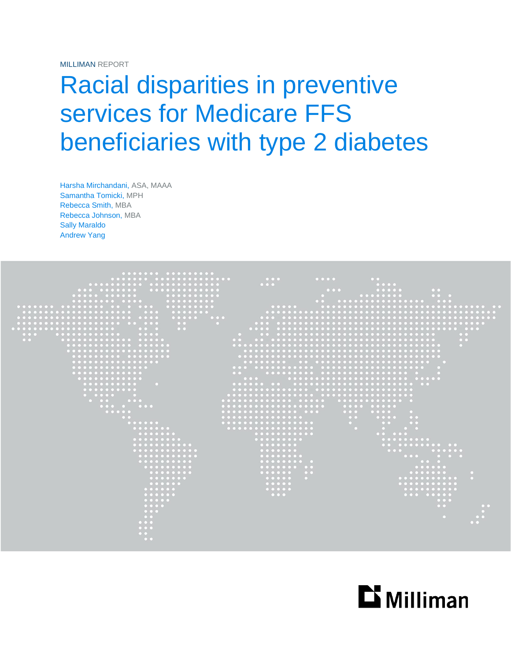MILLIMAN REPORT

# Racial disparities in preventive services for Medicare FFS beneficiaries with type 2 diabetes

Harsha Mirchandani, ASA, MAAA Samantha Tomicki, MPH Rebecca Smith, MBA Rebecca Johnson, MBA Sally Maraldo Andrew Yang



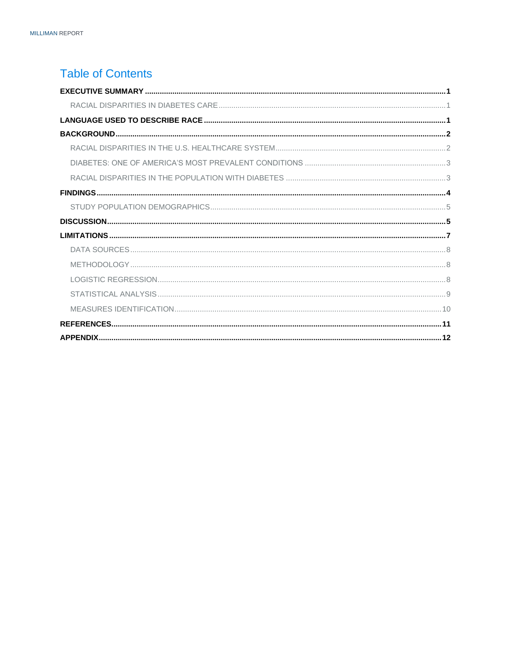### **Table of Contents**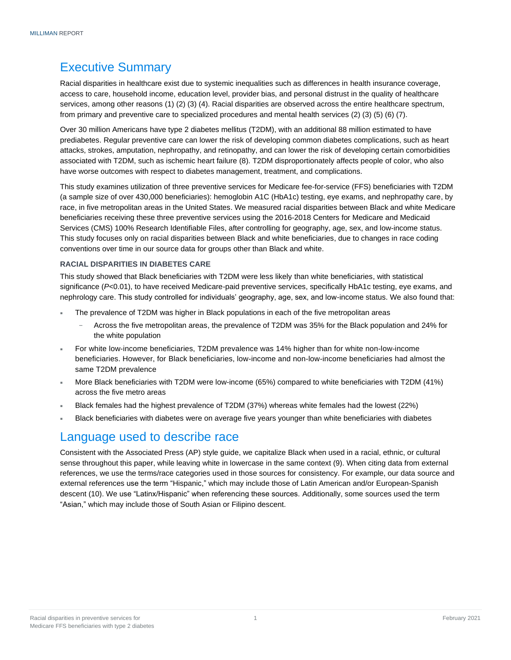### <span id="page-2-0"></span>Executive Summary

Racial disparities in healthcare exist due to systemic inequalities such as differences in health insurance coverage, access to care, household income, education level, provider bias, and personal distrust in the quality of healthcare services, among other reasons (1) (2) (3) (4). Racial disparities are observed across the entire healthcare spectrum, from primary and preventive care to specialized procedures and mental health services (2) (3) (5) (6) (7).

Over 30 million Americans have type 2 diabetes mellitus (T2DM), with an additional 88 million estimated to have prediabetes. Regular preventive care can lower the risk of developing common diabetes complications, such as heart attacks, strokes, amputation, nephropathy, and retinopathy, and can lower the risk of developing certain comorbidities associated with T2DM, such as ischemic heart failure (8). T2DM disproportionately affects people of color, who also have worse outcomes with respect to diabetes management, treatment, and complications.

This study examines utilization of three preventive services for Medicare fee-for-service (FFS) beneficiaries with T2DM (a sample size of over 430,000 beneficiaries): hemoglobin A1C (HbA1c) testing, eye exams, and nephropathy care, by race, in five metropolitan areas in the United States. We measured racial disparities between Black and white Medicare beneficiaries receiving these three preventive services using the 2016-2018 Centers for Medicare and Medicaid Services (CMS) 100% Research Identifiable Files, after controlling for geography, age, sex, and low-income status. This study focuses only on racial disparities between Black and white beneficiaries, due to changes in race coding conventions over time in our source data for groups other than Black and white.

#### <span id="page-2-1"></span>**RACIAL DISPARITIES IN DIABETES CARE**

This study showed that Black beneficiaries with T2DM were less likely than white beneficiaries, with statistical significance (*P*<0.01), to have received Medicare-paid preventive services, specifically HbA1c testing, eye exams, and nephrology care. This study controlled for individuals' geography, age, sex, and low-income status. We also found that:

- The prevalence of T2DM was higher in Black populations in each of the five metropolitan areas
	- − Across the five metropolitan areas, the prevalence of T2DM was 35% for the Black population and 24% for the white population
- For white low-income beneficiaries, T2DM prevalence was 14% higher than for white non-low-income beneficiaries. However, for Black beneficiaries, low-income and non-low-income beneficiaries had almost the same T2DM prevalence
- More Black beneficiaries with T2DM were low-income (65%) compared to white beneficiaries with T2DM (41%) across the five metro areas
- Black females had the highest prevalence of T2DM (37%) whereas white females had the lowest (22%)
- Black beneficiaries with diabetes were on average five years younger than white beneficiaries with diabetes

### <span id="page-2-2"></span>Language used to describe race

Consistent with the Associated Press (AP) style guide, we capitalize Black when used in a racial, ethnic, or cultural sense throughout this paper, while leaving white in lowercase in the same context (9). When citing data from external references, we use the terms/race categories used in those sources for consistency. For example, our data source and external references use the term "Hispanic," which may include those of Latin American and/or European-Spanish descent (10). We use "Latinx/Hispanic" when referencing these sources. Additionally, some sources used the term "Asian," which may include those of South Asian or Filipino descent.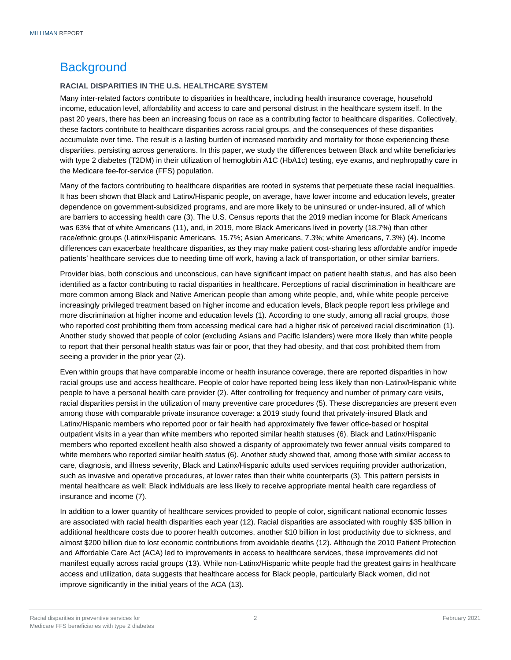### <span id="page-3-0"></span>**Background**

#### <span id="page-3-1"></span>**RACIAL DISPARITIES IN THE U.S. HEALTHCARE SYSTEM**

Many inter-related factors contribute to disparities in healthcare, including health insurance coverage, household income, education level, affordability and access to care and personal distrust in the healthcare system itself. In the past 20 years, there has been an increasing focus on race as a contributing factor to healthcare disparities. Collectively, these factors contribute to healthcare disparities across racial groups, and the consequences of these disparities accumulate over time. The result is a lasting burden of increased morbidity and mortality for those experiencing these disparities, persisting across generations. In this paper, we study the differences between Black and white beneficiaries with type 2 diabetes (T2DM) in their utilization of hemoglobin A1C (HbA1c) testing, eye exams, and nephropathy care in the Medicare fee-for-service (FFS) population.

Many of the factors contributing to healthcare disparities are rooted in systems that perpetuate these racial inequalities. It has been shown that Black and Latinx/Hispanic people, on average, have lower income and education levels, greater dependence on government-subsidized programs, and are more likely to be uninsured or under-insured, all of which are barriers to accessing health care (3). The U.S. Census reports that the 2019 median income for Black Americans was 63% that of white Americans (11), and, in 2019, more Black Americans lived in poverty (18.7%) than other race/ethnic groups (Latinx/Hispanic Americans, 15.7%; Asian Americans, 7.3%; white Americans, 7.3%) (4). Income differences can exacerbate healthcare disparities, as they may make patient cost-sharing less affordable and/or impede patients' healthcare services due to needing time off work, having a lack of transportation, or other similar barriers.

Provider bias, both conscious and unconscious, can have significant impact on patient health status, and has also been identified as a factor contributing to racial disparities in healthcare. Perceptions of racial discrimination in healthcare are more common among Black and Native American people than among white people, and, while white people perceive increasingly privileged treatment based on higher income and education levels, Black people report less privilege and more discrimination at higher income and education levels (1). According to one study, among all racial groups, those who reported cost prohibiting them from accessing medical care had a higher risk of perceived racial discrimination (1). Another study showed that people of color (excluding Asians and Pacific Islanders) were more likely than white people to report that their personal health status was fair or poor, that they had obesity, and that cost prohibited them from seeing a provider in the prior year (2).

Even within groups that have comparable income or health insurance coverage, there are reported disparities in how racial groups use and access healthcare. People of color have reported being less likely than non-Latinx/Hispanic white people to have a personal health care provider (2). After controlling for frequency and number of primary care visits, racial disparities persist in the utilization of many preventive care procedures (5). These discrepancies are present even among those with comparable private insurance coverage: a 2019 study found that privately-insured Black and Latinx/Hispanic members who reported poor or fair health had approximately five fewer office-based or hospital outpatient visits in a year than white members who reported similar health statuses (6). Black and Latinx/Hispanic members who reported excellent health also showed a disparity of approximately two fewer annual visits compared to white members who reported similar health status (6). Another study showed that, among those with similar access to care, diagnosis, and illness severity, Black and Latinx/Hispanic adults used services requiring provider authorization, such as invasive and operative procedures, at lower rates than their white counterparts (3). This pattern persists in mental healthcare as well: Black individuals are less likely to receive appropriate mental health care regardless of insurance and income (7).

In addition to a lower quantity of healthcare services provided to people of color, significant national economic losses are associated with racial health disparities each year (12). Racial disparities are associated with roughly \$35 billion in additional healthcare costs due to poorer health outcomes, another \$10 billion in lost productivity due to sickness, and almost \$200 billion due to lost economic contributions from avoidable deaths (12). Although the 2010 Patient Protection and Affordable Care Act (ACA) led to improvements in access to healthcare services, these improvements did not manifest equally across racial groups (13). While non‐Latinx/Hispanic white people had the greatest gains in healthcare access and utilization, data suggests that healthcare access for Black people, particularly Black women, did not improve significantly in the initial years of the ACA (13).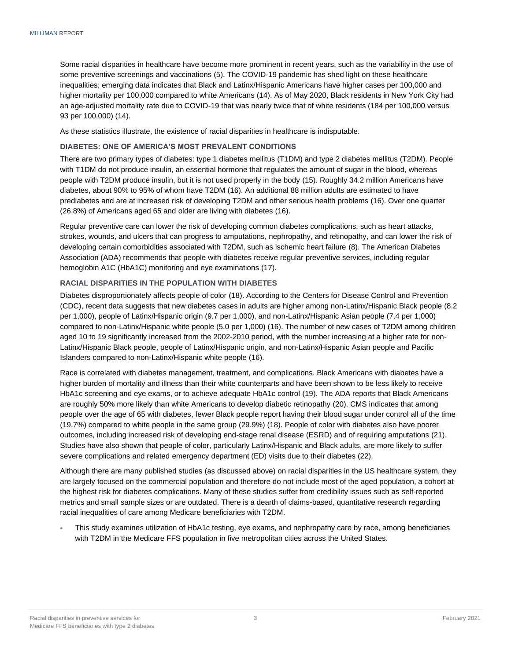Some racial disparities in healthcare have become more prominent in recent years, such as the variability in the use of some preventive screenings and vaccinations (5). The COVID-19 pandemic has shed light on these healthcare inequalities; emerging data indicates that Black and Latinx/Hispanic Americans have higher cases per 100,000 and higher mortality per 100,000 compared to white Americans (14). As of May 2020, Black residents in New York City had an age-adjusted mortality rate due to COVID-19 that was nearly twice that of white residents (184 per 100,000 versus 93 per 100,000) (14).

As these statistics illustrate, the existence of racial disparities in healthcare is indisputable.

#### <span id="page-4-0"></span>**DIABETES: ONE OF AMERICA'S MOST PREVALENT CONDITIONS**

There are two primary types of diabetes: type 1 diabetes mellitus (T1DM) and type 2 diabetes mellitus (T2DM). People with T1DM do not produce insulin, an essential hormone that regulates the amount of sugar in the blood, whereas people with T2DM produce insulin, but it is not used properly in the body (15). Roughly 34.2 million Americans have diabetes, about 90% to 95% of whom have T2DM (16). An additional 88 million adults are estimated to have prediabetes and are at increased risk of developing T2DM and other serious health problems (16). Over one quarter (26.8%) of Americans aged 65 and older are living with diabetes (16).

Regular preventive care can lower the risk of developing common diabetes complications, such as heart attacks, strokes, wounds, and ulcers that can progress to amputations, nephropathy, and retinopathy, and can lower the risk of developing certain comorbidities associated with T2DM, such as ischemic heart failure (8). The American Diabetes Association (ADA) recommends that people with diabetes receive regular preventive services, including regular hemoglobin A1C (HbA1C) monitoring and eye examinations (17).

#### <span id="page-4-1"></span>**RACIAL DISPARITIES IN THE POPULATION WITH DIABETES**

Diabetes disproportionately affects people of color (18). According to the Centers for Disease Control and Prevention (CDC), recent data suggests that new diabetes cases in adults are higher among non-Latinx/Hispanic Black people (8.2 per 1,000), people of Latinx/Hispanic origin (9.7 per 1,000), and non-Latinx/Hispanic Asian people (7.4 per 1,000) compared to non-Latinx/Hispanic white people (5.0 per 1,000) (16). The number of new cases of T2DM among children aged 10 to 19 significantly increased from the 2002-2010 period, with the number increasing at a higher rate for non-Latinx/Hispanic Black people, people of Latinx/Hispanic origin, and non-Latinx/Hispanic Asian people and Pacific Islanders compared to non-Latinx/Hispanic white people (16).

Race is correlated with diabetes management, treatment, and complications. Black Americans with diabetes have a higher burden of mortality and illness than their white counterparts and have been shown to be less likely to receive HbA1c screening and eye exams, or to achieve adequate HbA1c control (19). The ADA reports that Black Americans are roughly 50% more likely than white Americans to develop diabetic retinopathy (20). CMS indicates that among people over the age of 65 with diabetes, fewer Black people report having their blood sugar under control all of the time (19.7%) compared to white people in the same group (29.9%) (18). People of color with diabetes also have poorer outcomes, including increased risk of developing end-stage renal disease (ESRD) and of requiring amputations (21). Studies have also shown that people of color, particularly Latinx/Hispanic and Black adults, are more likely to suffer severe complications and related emergency department (ED) visits due to their diabetes (22).

Although there are many published studies (as discussed above) on racial disparities in the US healthcare system, they are largely focused on the commercial population and therefore do not include most of the aged population, a cohort at the highest risk for diabetes complications. Many of these studies suffer from credibility issues such as self-reported metrics and small sample sizes or are outdated. There is a dearth of claims-based, quantitative research regarding racial inequalities of care among Medicare beneficiaries with T2DM.

 This study examines utilization of HbA1c testing, eye exams, and nephropathy care by race, among beneficiaries with T2DM in the Medicare FFS population in five metropolitan cities across the United States.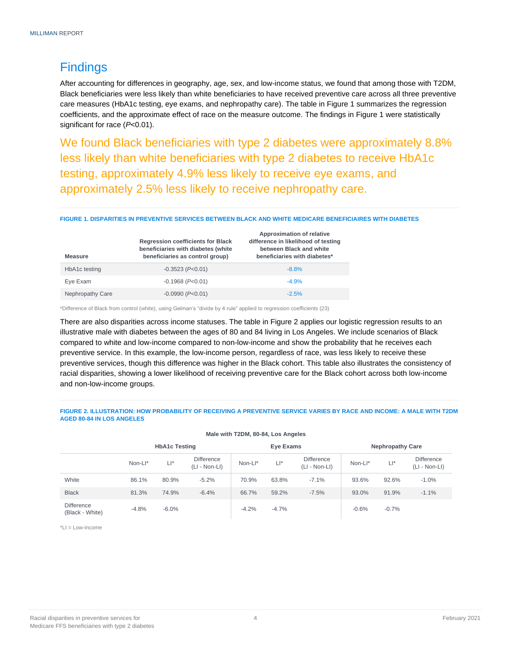### <span id="page-5-0"></span>**Findings**

After accounting for differences in geography, age, sex, and low-income status, we found that among those with T2DM, Black beneficiaries were less likely than white beneficiaries to have received preventive care across all three preventive care measures (HbA1c testing, eye exams, and nephropathy care). The table in Figure 1 summarizes the regression coefficients, and the approximate effect of race on the measure outcome. The findings in Figure 1 were statistically significant for race (*P*<0.01).

We found Black beneficiaries with type 2 diabetes were approximately 8.8% less likely than white beneficiaries with type 2 diabetes to receive HbA1c testing, approximately 4.9% less likely to receive eye exams, and approximately 2.5% less likely to receive nephropathy care.

#### **FIGURE 1. DISPARITIES IN PREVENTIVE SERVICES BETWEEN BLACK AND WHITE MEDICARE BENEFICIAIRES WITH DIABETES**

| <b>Measure</b>          | <b>Regression coefficients for Black</b><br>beneficiaries with diabetes (white<br>beneficiaries as control group) | Approximation of relative<br>difference in likelihood of testing<br>between Black and white<br>beneficiaries with diabetes* |
|-------------------------|-------------------------------------------------------------------------------------------------------------------|-----------------------------------------------------------------------------------------------------------------------------|
| HbA1c testing           | $-0.3523$ ( $P<0.01$ )                                                                                            | $-8.8%$                                                                                                                     |
| Eye Exam                | $-0.1968$ ( $P<0.01$ )                                                                                            | $-4.9%$                                                                                                                     |
| <b>Nephropathy Care</b> | $-0.0990$ ( $P<0.01$ )                                                                                            | $-2.5%$                                                                                                                     |

\*Difference of Black from control (white), using Gelman's "divide by 4 rule" applied to regression coefficients (23)

There are also disparities across income statuses. The table in Figure 2 applies our logistic regression results to an illustrative male with diabetes between the ages of 80 and 84 living in Los Angeles. We include scenarios of Black compared to white and low-income compared to non-low-income and show the probability that he receives each preventive service. In this example, the low-income person, regardless of race, was less likely to receive these preventive services, though this difference was higher in the Black cohort. This table also illustrates the consistency of racial disparities, showing a lower likelihood of receiving preventive care for the Black cohort across both low-income and non-low-income groups.

**FIGURE 2. ILLUSTRATION: HOW PROBABILITY OF RECEIVING A PREVENTIVE SERVICE VARIES BY RACE AND INCOME: A MALE WITH T2DM AGED 80-84 IN LOS ANGELES**

**Male with T2DM, 80-84, Los Angeles**

| $m = W(11112UW, 0004, LU)$           |                      |         |                                      |         |                         |                                      |         |         |                                      |
|--------------------------------------|----------------------|---------|--------------------------------------|---------|-------------------------|--------------------------------------|---------|---------|--------------------------------------|
|                                      | <b>HbA1c Testing</b> |         | Eye Exams                            |         | <b>Nephropathy Care</b> |                                      |         |         |                                      |
|                                      | Non-Ll*              | $L^*$   | <b>Difference</b><br>$(LI - Non-LI)$ | Non-Ll* | LI*                     | <b>Difference</b><br>$(LI - Non-LI)$ | Non-Ll* | $L^*$   | <b>Difference</b><br>$(LI - Non-LI)$ |
| White                                | 86.1%                | 80.9%   | $-5.2%$                              | 70.9%   | 63.8%                   | $-7.1%$                              | 93.6%   | 92.6%   | $-1.0%$                              |
| <b>Black</b>                         | 81.3%                | 74.9%   | $-6.4%$                              | 66.7%   | 59.2%                   | $-7.5%$                              | 93.0%   | 91.9%   | $-1.1%$                              |
| <b>Difference</b><br>(Black - White) | $-4.8%$              | $-6.0%$ |                                      | $-4.2%$ | $-4.7%$                 |                                      | $-0.6%$ | $-0.7%$ |                                      |

 $*L = L$ ow-income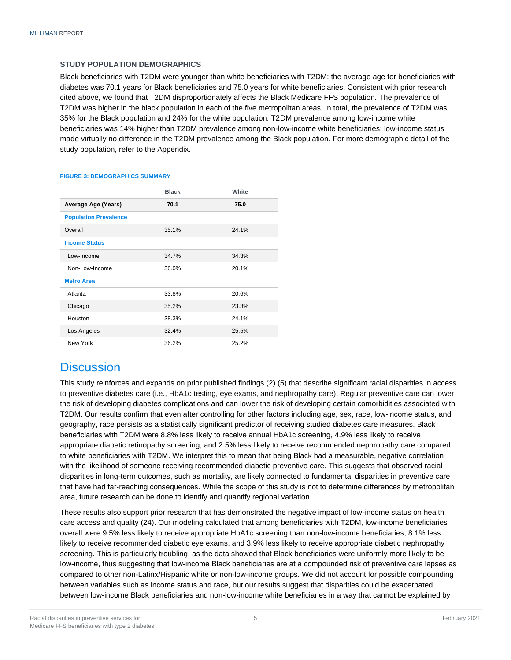#### <span id="page-6-0"></span>**STUDY POPULATION DEMOGRAPHICS**

Black beneficiaries with T2DM were younger than white beneficiaries with T2DM: the average age for beneficiaries with diabetes was 70.1 years for Black beneficiaries and 75.0 years for white beneficiaries. Consistent with prior research cited above, we found that T2DM disproportionately affects the Black Medicare FFS population. The prevalence of T2DM was higher in the black population in each of the five metropolitan areas. In total, the prevalence of T2DM was 35% for the Black population and 24% for the white population. T2DM prevalence among low-income white beneficiaries was 14% higher than T2DM prevalence among non-low-income white beneficiaries; low-income status made virtually no difference in the T2DM prevalence among the Black population. For more demographic detail of the study population, refer to the Appendix.

|                              | <b>Black</b> | White |  |  |  |  |
|------------------------------|--------------|-------|--|--|--|--|
| Average Age (Years)          | 70.1         | 75.0  |  |  |  |  |
| <b>Population Prevalence</b> |              |       |  |  |  |  |
| Overall                      | 35.1%        | 24.1% |  |  |  |  |
| <b>Income Status</b>         |              |       |  |  |  |  |
| Low-Income                   | 34.7%        | 34.3% |  |  |  |  |
| Non-Low-Income               | 36.0%        | 20.1% |  |  |  |  |
| <b>Metro Area</b>            |              |       |  |  |  |  |
| Atlanta                      | 33.8%        | 20.6% |  |  |  |  |
| Chicago                      | 35.2%        | 23.3% |  |  |  |  |
| Houston                      | 38.3%        | 24.1% |  |  |  |  |
| Los Angeles                  | 32.4%        | 25.5% |  |  |  |  |
| New York                     | 36.2%        | 25.2% |  |  |  |  |

#### **FIGURE 3: DEMOGRAPHICS SUMMARY**

### <span id="page-6-1"></span>**Discussion**

This study reinforces and expands on prior published findings (2) (5) that describe significant racial disparities in access to preventive diabetes care (i.e., HbA1c testing, eye exams, and nephropathy care). Regular preventive care can lower the risk of developing diabetes complications and can lower the risk of developing certain comorbidities associated with T2DM. Our results confirm that even after controlling for other factors including age, sex, race, low-income status, and geography, race persists as a statistically significant predictor of receiving studied diabetes care measures. Black beneficiaries with T2DM were 8.8% less likely to receive annual HbA1c screening, 4.9% less likely to receive appropriate diabetic retinopathy screening, and 2.5% less likely to receive recommended nephropathy care compared to white beneficiaries with T2DM. We interpret this to mean that being Black had a measurable, negative correlation with the likelihood of someone receiving recommended diabetic preventive care. This suggests that observed racial disparities in long-term outcomes, such as mortality, are likely connected to fundamental disparities in preventive care that have had far-reaching consequences. While the scope of this study is not to determine differences by metropolitan area, future research can be done to identify and quantify regional variation.

These results also support prior research that has demonstrated the negative impact of low-income status on health care access and quality (24). Our modeling calculated that among beneficiaries with T2DM, low-income beneficiaries overall were 9.5% less likely to receive appropriate HbA1c screening than non-low-income beneficiaries, 8.1% less likely to receive recommended diabetic eye exams, and 3.9% less likely to receive appropriate diabetic nephropathy screening. This is particularly troubling, as the data showed that Black beneficiaries were uniformly more likely to be low-income, thus suggesting that low-income Black beneficiaries are at a compounded risk of preventive care lapses as compared to other non-Latinx/Hispanic white or non-low-income groups. We did not account for possible compounding between variables such as income status and race, but our results suggest that disparities could be exacerbated between low-income Black beneficiaries and non-low-income white beneficiaries in a way that cannot be explained by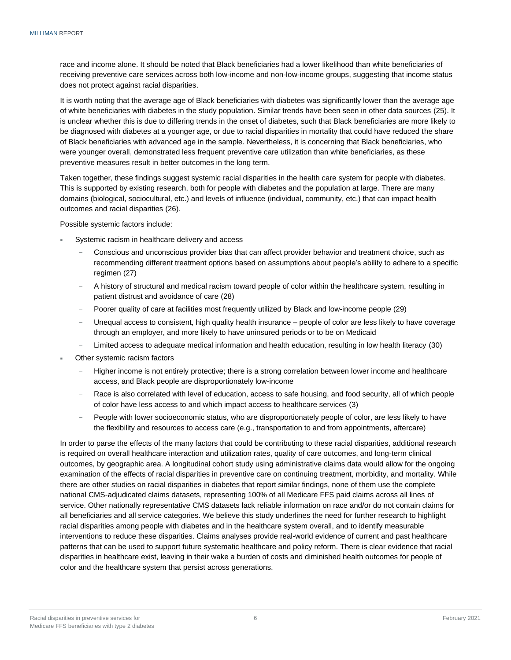race and income alone. It should be noted that Black beneficiaries had a lower likelihood than white beneficiaries of receiving preventive care services across both low-income and non-low-income groups, suggesting that income status does not protect against racial disparities.

It is worth noting that the average age of Black beneficiaries with diabetes was significantly lower than the average age of white beneficiaries with diabetes in the study population. Similar trends have been seen in other data sources (25). It is unclear whether this is due to differing trends in the onset of diabetes, such that Black beneficiaries are more likely to be diagnosed with diabetes at a younger age, or due to racial disparities in mortality that could have reduced the share of Black beneficiaries with advanced age in the sample. Nevertheless, it is concerning that Black beneficiaries, who were younger overall, demonstrated less frequent preventive care utilization than white beneficiaries, as these preventive measures result in better outcomes in the long term.

Taken together, these findings suggest systemic racial disparities in the health care system for people with diabetes. This is supported by existing research, both for people with diabetes and the population at large. There are many domains (biological, sociocultural, etc.) and levels of influence (individual, community, etc.) that can impact health outcomes and racial disparities (26).

Possible systemic factors include:

- Systemic racism in healthcare delivery and access
	- − Conscious and unconscious provider bias that can affect provider behavior and treatment choice, such as recommending different treatment options based on assumptions about people's ability to adhere to a specific regimen (27)
	- − A history of structural and medical racism toward people of color within the healthcare system, resulting in patient distrust and avoidance of care (28)
	- − Poorer quality of care at facilities most frequently utilized by Black and low-income people (29)
	- − Unequal access to consistent, high quality health insurance people of color are less likely to have coverage through an employer, and more likely to have uninsured periods or to be on Medicaid
	- − Limited access to adequate medical information and health education, resulting in low health literacy (30)
- Other systemic racism factors
	- − Higher income is not entirely protective; there is a strong correlation between lower income and healthcare access, and Black people are disproportionately low-income
	- Race is also correlated with level of education, access to safe housing, and food security, all of which people of color have less access to and which impact access to healthcare services (3)
	- − People with lower socioeconomic status, who are disproportionately people of color, are less likely to have the flexibility and resources to access care (e.g., transportation to and from appointments, aftercare)

In order to parse the effects of the many factors that could be contributing to these racial disparities, additional research is required on overall healthcare interaction and utilization rates, quality of care outcomes, and long-term clinical outcomes, by geographic area. A longitudinal cohort study using administrative claims data would allow for the ongoing examination of the effects of racial disparities in preventive care on continuing treatment, morbidity, and mortality. While there are other studies on racial disparities in diabetes that report similar findings, none of them use the complete national CMS-adjudicated claims datasets, representing 100% of all Medicare FFS paid claims across all lines of service. Other nationally representative CMS datasets lack reliable information on race and/or do not contain claims for all beneficiaries and all service categories. We believe this study underlines the need for further research to highlight racial disparities among people with diabetes and in the healthcare system overall, and to identify measurable interventions to reduce these disparities. Claims analyses provide real-world evidence of current and past healthcare patterns that can be used to support future systematic healthcare and policy reform. There is clear evidence that racial disparities in healthcare exist, leaving in their wake a burden of costs and diminished health outcomes for people of color and the healthcare system that persist across generations.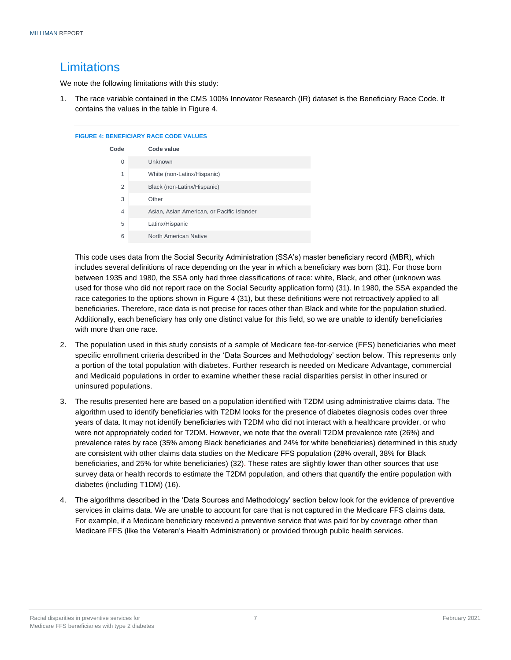### <span id="page-8-0"></span>**Limitations**

We note the following limitations with this study:

1. The race variable contained in the CMS 100% Innovator Research (IR) dataset is the Beneficiary Race Code. It contains the values in the table in Figure 4.

#### **FIGURE 4: BENEFICIARY RACE CODE VALUES**

| Code | Code value                                 |
|------|--------------------------------------------|
| 0    | Unknown                                    |
| 1    | White (non-Latinx/Hispanic)                |
| 2    | Black (non-Latinx/Hispanic)                |
| 3    | Other                                      |
| 4    | Asian, Asian American, or Pacific Islander |
| 5    | Latinx/Hispanic                            |
| 6    | North American Native                      |

This code uses data from the Social Security Administration (SSA's) master beneficiary record (MBR), which includes several definitions of race depending on the year in which a beneficiary was born (31). For those born between 1935 and 1980, the SSA only had three classifications of race: white, Black, and other (unknown was used for those who did not report race on the Social Security application form) (31). In 1980, the SSA expanded the race categories to the options shown in Figure 4 (31), but these definitions were not retroactively applied to all beneficiaries. Therefore, race data is not precise for races other than Black and white for the population studied. Additionally, each beneficiary has only one distinct value for this field, so we are unable to identify beneficiaries with more than one race.

- 2. The population used in this study consists of a sample of Medicare fee-for-service (FFS) beneficiaries who meet specific enrollment criteria described in the 'Data Sources and Methodology' section below. This represents only a portion of the total population with diabetes. Further research is needed on Medicare Advantage, commercial and Medicaid populations in order to examine whether these racial disparities persist in other insured or uninsured populations.
- 3. The results presented here are based on a population identified with T2DM using administrative claims data. The algorithm used to identify beneficiaries with T2DM looks for the presence of diabetes diagnosis codes over three years of data. It may not identify beneficiaries with T2DM who did not interact with a healthcare provider, or who were not appropriately coded for T2DM. However, we note that the overall T2DM prevalence rate (26%) and prevalence rates by race (35% among Black beneficiaries and 24% for white beneficiaries) determined in this study are consistent with other claims data studies on the Medicare FFS population (28% overall, 38% for Black beneficiaries, and 25% for white beneficiaries) (32). These rates are slightly lower than other sources that use survey data or health records to estimate the T2DM population, and others that quantify the entire population with diabetes (including T1DM) (16).
- 4. The algorithms described in the 'Data Sources and Methodology' section below look for the evidence of preventive services in claims data. We are unable to account for care that is not captured in the Medicare FFS claims data. For example, if a Medicare beneficiary received a preventive service that was paid for by coverage other than Medicare FFS (like the Veteran's Health Administration) or provided through public health services.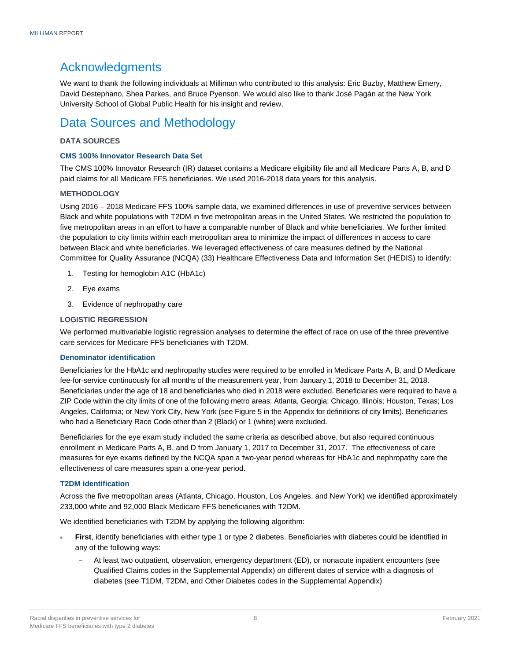### Acknowledgments

We want to thank the following individuals at Milliman who contributed to this analysis: Eric Buzby, Matthew Emery, David Destephano, Shea Parkes, and Bruce Pyenson. We would also like to thank José Pagán at the New York University School of Global Public Health for his insight and review.

### Data Sources and Methodology

#### <span id="page-9-0"></span>**DATA SOURCES**

#### **CMS 100% Innovator Research Data Set**

The CMS 100% Innovator Research (IR) dataset contains a Medicare eligibility file and all Medicare Parts A, B, and D paid claims for all Medicare FFS beneficiaries. We used 2016-2018 data years for this analysis.

#### <span id="page-9-1"></span>**METHODOLOGY**

Using 2016 – 2018 Medicare FFS 100% sample data, we examined differences in use of preventive services between Black and white populations with T2DM in five metropolitan areas in the United States. We restricted the population to five metropolitan areas in an effort to have a comparable number of Black and white beneficiaries. We further limited the population to city limits within each metropolitan area to minimize the impact of differences in access to care between Black and white beneficiaries. We leveraged effectiveness of care measures defined by the National Committee for Quality Assurance (NCQA) (33) Healthcare Effectiveness Data and Information Set (HEDIS) to identify:

- 1. Testing for hemoglobin A1C (HbA1c)
- 2. Eye exams
- 3. Evidence of nephropathy care

#### <span id="page-9-2"></span>**LOGISTIC REGRESSION**

We performed multivariable logistic regression analyses to determine the effect of race on use of the three preventive care services for Medicare FFS beneficiaries with T2DM.

#### **Denominator identification**

Beneficiaries for the HbA1c and nephropathy studies were required to be enrolled in Medicare Parts A, B, and D Medicare fee-for-service continuously for all months of the measurement year, from January 1, 2018 to December 31, 2018. Beneficiaries under the age of 18 and beneficiaries who died in 2018 were excluded. Beneficiaries were required to have a ZIP Code within the city limits of one of the following metro areas: Atlanta, Georgia; Chicago, Illinois; Houston, Texas; Los Angeles, California; or New York City, New York (see Figure 5 in the Appendix for definitions of city limits). Beneficiaries who had a Beneficiary Race Code other than 2 (Black) or 1 (white) were excluded.

Beneficiaries for the eye exam study included the same criteria as described above, but also required continuous enrollment in Medicare Parts A, B, and D from January 1, 2017 to December 31, 2017. The effectiveness of care measures for eye exams defined by the NCQA span a two-year period whereas for HbA1c and nephropathy care the effectiveness of care measures span a one-year period.

#### **T2DM identification**

Across the five metropolitan areas (Atlanta, Chicago, Houston, Los Angeles, and New York) we identified approximately 233,000 white and 92,000 Black Medicare FFS beneficiaries with T2DM.

We identified beneficiaries with T2DM by applying the following algorithm:

- **First**, identify beneficiaries with either type 1 or type 2 diabetes. Beneficiaries with diabetes could be identified in any of the following ways:
	- − At least two outpatient, observation, emergency department (ED), or nonacute inpatient encounters (see Qualified Claims codes in the Supplemental Appendix) on different dates of service with a diagnosis of diabetes (see T1DM, T2DM, and Other Diabetes codes in the Supplemental Appendix)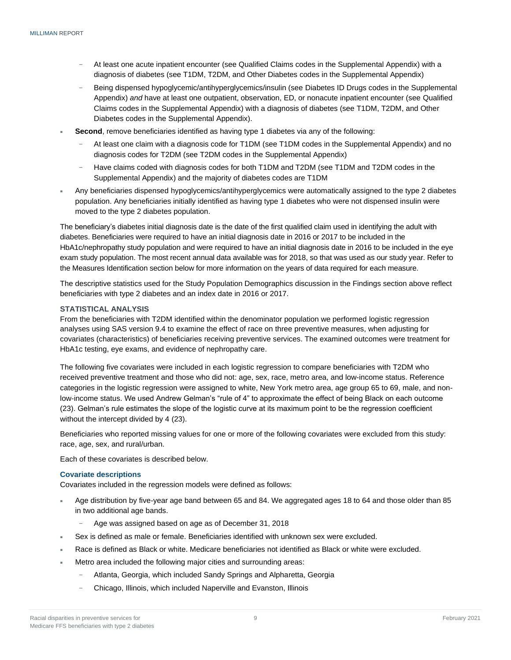- At least one acute inpatient encounter (see Qualified Claims codes in the Supplemental Appendix) with a diagnosis of diabetes (see T1DM, T2DM, and Other Diabetes codes in the Supplemental Appendix)
- − Being dispensed hypoglycemic/antihyperglycemics/insulin (see Diabetes ID Drugs codes in the Supplemental Appendix) *and* have at least one outpatient, observation, ED, or nonacute inpatient encounter (see Qualified Claims codes in the Supplemental Appendix) with a diagnosis of diabetes (see T1DM, T2DM, and Other Diabetes codes in the Supplemental Appendix).
- **Second**, remove beneficiaries identified as having type 1 diabetes via any of the following:
	- − At least one claim with a diagnosis code for T1DM (see T1DM codes in the Supplemental Appendix) and no diagnosis codes for T2DM (see T2DM codes in the Supplemental Appendix)
	- − Have claims coded with diagnosis codes for both T1DM and T2DM (see T1DM and T2DM codes in the Supplemental Appendix) and the majority of diabetes codes are T1DM
- Any beneficiaries dispensed hypoglycemics/antihyperglycemics were automatically assigned to the type 2 diabetes population. Any beneficiaries initially identified as having type 1 diabetes who were not dispensed insulin were moved to the type 2 diabetes population.

The beneficiary's diabetes initial diagnosis date is the date of the first qualified claim used in identifying the adult with diabetes. Beneficiaries were required to have an initial diagnosis date in 2016 or 2017 to be included in the HbA1c/nephropathy study population and were required to have an initial diagnosis date in 2016 to be included in the eye exam study population. The most recent annual data available was for 2018, so that was used as our study year. Refer to the Measures Identification section below for more information on the years of data required for each measure.

The descriptive statistics used for the Study Population Demographics discussion in the Findings section above reflect beneficiaries with type 2 diabetes and an index date in 2016 or 2017.

#### <span id="page-10-0"></span>**STATISTICAL ANALYSIS**

From the beneficiaries with T2DM identified within the denominator population we performed logistic regression analyses using SAS version 9.4 to examine the effect of race on three preventive measures, when adjusting for covariates (characteristics) of beneficiaries receiving preventive services. The examined outcomes were treatment for HbA1c testing, eye exams, and evidence of nephropathy care.

The following five covariates were included in each logistic regression to compare beneficiaries with T2DM who received preventive treatment and those who did not: age, sex, race, metro area, and low-income status. Reference categories in the logistic regression were assigned to white, New York metro area, age group 65 to 69, male, and nonlow-income status. We used Andrew Gelman's "rule of 4" to approximate the effect of being Black on each outcome (23). Gelman's rule estimates the slope of the logistic curve at its maximum point to be the regression coefficient without the intercept divided by 4 (23).

Beneficiaries who reported missing values for one or more of the following covariates were excluded from this study: race, age, sex, and rural/urban.

Each of these covariates is described below.

#### **Covariate descriptions**

Covariates included in the regression models were defined as follows:

- Age distribution by five-year age band between 65 and 84. We aggregated ages 18 to 64 and those older than 85 in two additional age bands.
	- − Age was assigned based on age as of December 31, 2018
- Sex is defined as male or female. Beneficiaries identified with unknown sex were excluded.
- Race is defined as Black or white. Medicare beneficiaries not identified as Black or white were excluded.
- Metro area included the following major cities and surrounding areas:
	- − Atlanta, Georgia, which included Sandy Springs and Alpharetta, Georgia
		- − Chicago, Illinois, which included Naperville and Evanston, Illinois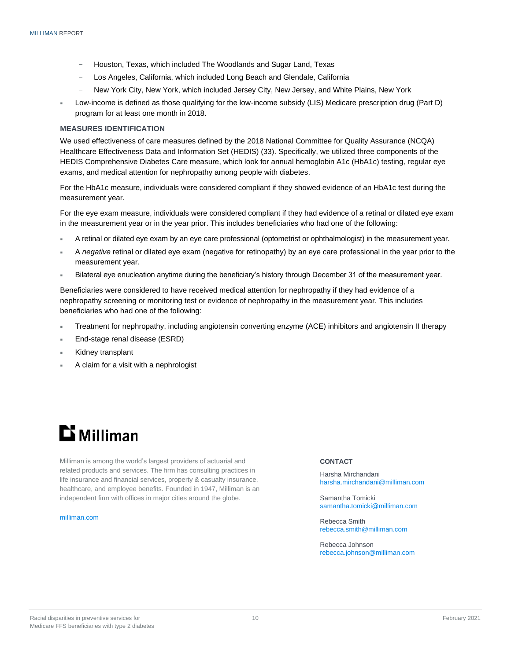- − Houston, Texas, which included The Woodlands and Sugar Land, Texas
- Los Angeles, California, which included Long Beach and Glendale, California
- − New York City, New York, which included Jersey City, New Jersey, and White Plains, New York
- Low-income is defined as those qualifying for the low-income subsidy (LIS) Medicare prescription drug (Part D) program for at least one month in 2018.

#### <span id="page-11-0"></span>**MEASURES IDENTIFICATION**

We used effectiveness of care measures defined by the 2018 National Committee for Quality Assurance (NCQA) Healthcare Effectiveness Data and Information Set (HEDIS) (33). Specifically, we utilized three components of the HEDIS Comprehensive Diabetes Care measure, which look for annual hemoglobin A1c (HbA1c) testing, regular eye exams, and medical attention for nephropathy among people with diabetes.

For the HbA1c measure, individuals were considered compliant if they showed evidence of an HbA1c test during the measurement year.

For the eye exam measure, individuals were considered compliant if they had evidence of a retinal or dilated eye exam in the measurement year or in the year prior. This includes beneficiaries who had one of the following:

- A retinal or dilated eye exam by an eye care professional (optometrist or ophthalmologist) in the measurement year.
- A *negative* retinal or dilated eye exam (negative for retinopathy) by an eye care professional in the year prior to the measurement year.
- Bilateral eye enucleation anytime during the beneficiary's history through December 31 of the measurement year.

Beneficiaries were considered to have received medical attention for nephropathy if they had evidence of a nephropathy screening or monitoring test or evidence of nephropathy in the measurement year. This includes beneficiaries who had one of the following:

- Treatment for nephropathy, including angiotensin converting enzyme (ACE) inhibitors and angiotensin II therapy
- End-stage renal disease (ESRD)
- Kidney transplant
- A claim for a visit with a nephrologist

## **Li** Milliman

Milliman is among the world's largest providers of actuarial and related products and services. The firm has consulting practices in life insurance and financial services, property & casualty insurance, healthcare, and employee benefits. Founded in 1947, Milliman is an independent firm with offices in major cities around the globe.

[milliman.com](http://www.milliman.com/)

#### **CONTACT**

Harsha Mirchandani [harsha.mirchandani@milliman.com](mailto:harsha.mirchandani@milliman.com)

Samantha Tomicki [samantha.tomicki@milliman.com](mailto:samantha.tomicki@milliman.com)

Rebecca Smith [rebecca.smith@milliman.com](mailto:rebecca.smith@milliman.com)

Rebecca Johnson [rebecca.johnson@milliman.com](mailto:rebecca.johnson@milliman.com)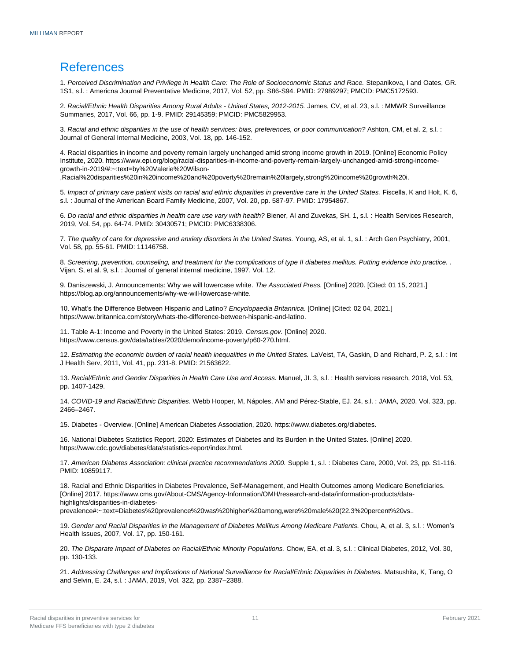### <span id="page-12-0"></span>References

1. *Perceived Discrimination and Privilege in Health Care: The Role of Socioeconomic Status and Race.* Stepanikova, I and Oates, GR. 1S1, s.l. : Americna Journal Preventative Medicine, 2017, Vol. 52, pp. S86-S94. PMID: 27989297; PMCID: PMC5172593.

2. *Racial/Ethnic Health Disparities Among Rural Adults - United States, 2012-2015.* James, CV, et al. 23, s.l. : MMWR Surveillance Summaries, 2017, Vol. 66, pp. 1-9. PMID: 29145359; PMCID: PMC5829953.

3. *Racial and ethnic disparities in the use of health services: bias, preferences, or poor communication?* Ashton, CM, et al. 2, s.l. : Journal of General Internal Medicine, 2003, Vol. 18, pp. 146-152.

4. Racial disparities in income and poverty remain largely unchanged amid strong income growth in 2019. [Online] Economic Policy Institute, 2020. https://www.epi.org/blog/racial-disparities-in-income-and-poverty-remain-largely-unchanged-amid-strong-incomegrowth-in-2019/#:~:text=by%20Valerie%20Wilson-

,Racial%20disparities%20in%20income%20and%20poverty%20remain%20largely,strong%20income%20growth%20i.

5. Impact of primary care patient visits on racial and ethnic disparities in preventive care in the United States. Fiscella, K and Holt, K. 6, s.l. : Journal of the American Board Family Medicine, 2007, Vol. 20, pp. 587-97. PMID: 17954867.

6. *Do racial and ethnic disparities in health care use vary with health?* Biener, AI and Zuvekas, SH. 1, s.l. : Health Services Research, 2019, Vol. 54, pp. 64-74. PMID: 30430571; PMCID: PMC6338306.

7. The quality of care for depressive and anxiety disorders in the United States. Young, AS, et al. 1, s.l. : Arch Gen Psychiatry, 2001, Vol. 58, pp. 55-61. PMID: 11146758.

8. *Screening, prevention, counseling, and treatment for the complications of type II diabetes mellitus. Putting evidence into practice. .*  Vijan, S, et al. 9, s.l. : Journal of general internal medicine, 1997, Vol. 12.

9. Daniszewski, J. Announcements: Why we will lowercase white. *The Associated Press.* [Online] 2020. [Cited: 01 15, 2021.] https://blog.ap.org/announcements/why-we-will-lowercase-white.

10. What's the Difference Between Hispanic and Latino? *Encyclopaedia Britannica.* [Online] [Cited: 02 04, 2021.] https://www.britannica.com/story/whats-the-difference-between-hispanic-and-latino.

11. Table A-1: Income and Poverty in the United States: 2019. *Census.gov.* [Online] 2020. https://www.census.gov/data/tables/2020/demo/income-poverty/p60-270.html.

12. Estimating the economic burden of racial health inequalities in the United States. LaVeist, TA, Gaskin, D and Richard, P. 2, s.l. : Int J Health Serv, 2011, Vol. 41, pp. 231-8. PMID: 21563622.

13. *Racial/Ethnic and Gender Disparities in Health Care Use and Access.* Manuel, JI. 3, s.l. : Health services research, 2018, Vol. 53, pp. 1407-1429.

14. *COVID-19 and Racial/Ethnic Disparities.* Webb Hooper, M, Nápoles, AM and Pérez-Stable, EJ. 24, s.l. : JAMA, 2020, Vol. 323, pp. 2466–2467.

15. Diabetes - Overview. [Online] American Diabetes Association, 2020. https://www.diabetes.org/diabetes.

16. National Diabetes Statistics Report, 2020: Estimates of Diabetes and Its Burden in the United States. [Online] 2020. https://www.cdc.gov/diabetes/data/statistics-report/index.html.

17. *American Diabetes Association: clinical practice recommendations 2000.* Supple 1, s.l. : Diabetes Care, 2000, Vol. 23, pp. S1-116. PMID: 10859117.

18. Racial and Ethnic Disparities in Diabetes Prevalence, Self-Management, and Health Outcomes among Medicare Beneficiaries. [Online] 2017. https://www.cms.gov/About-CMS/Agency-Information/OMH/research-and-data/information-products/datahighlights/disparities-in-diabetes-

prevalence#:~:text=Diabetes%20prevalence%20was%20higher%20among,were%20male%20(22.3%20percent%20vs..

19. *Gender and Racial Disparities in the Management of Diabetes Mellitus Among Medicare Patients.* Chou, A, et al. 3, s.l. : Women's Health Issues, 2007, Vol. 17, pp. 150-161.

20. *The Disparate Impact of Diabetes on Racial/Ethnic Minority Populations.* Chow, EA, et al. 3, s.l. : Clinical Diabetes, 2012, Vol. 30, pp. 130-133.

21. *Addressing Challenges and Implications of National Surveillance for Racial/Ethnic Disparities in Diabetes.* Matsushita, K, Tang, O and Selvin, E. 24, s.l. : JAMA, 2019, Vol. 322, pp. 2387–2388.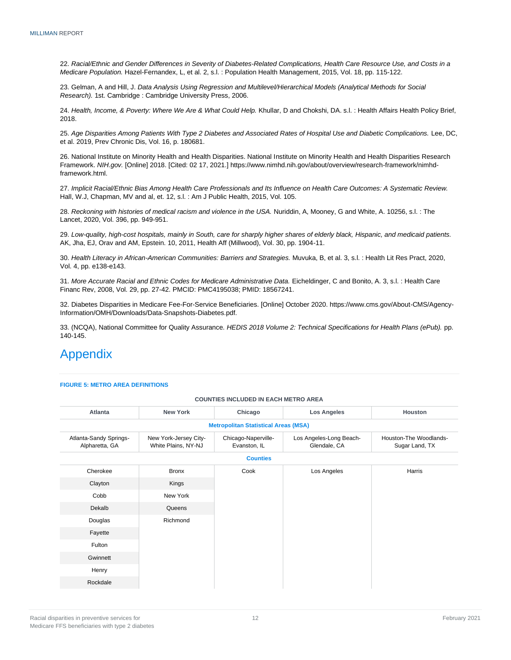22. *Racial/Ethnic and Gender Differences in Severity of Diabetes-Related Complications, Health Care Resource Use, and Costs in a Medicare Population.* Hazel-Fernandex, L, et al. 2, s.l. : Population Health Management, 2015, Vol. 18, pp. 115-122.

23. Gelman, A and Hill, J. *Data Analysis Using Regression and Multilevel/Hierarchical Models (Analytical Methods for Social Research).* 1st. Cambridge : Cambridge University Press, 2006.

24. *Health, Income, & Poverty: Where We Are & What Could Help.* Khullar, D and Chokshi, DA. s.l. : Health Affairs Health Policy Brief, 2018.

25. *Age Disparities Among Patients With Type 2 Diabetes and Associated Rates of Hospital Use and Diabetic Complications.* Lee, DC, et al. 2019, Prev Chronic Dis, Vol. 16, p. 180681.

26. National Institute on Minority Health and Health Disparities. National Institute on Minority Health and Health Disparities Research Framework. *NIH.gov.* [Online] 2018. [Cited: 02 17, 2021.] https://www.nimhd.nih.gov/about/overview/research-framework/nimhdframework.html.

27. *Implicit Racial/Ethnic Bias Among Health Care Professionals and Its Influence on Health Care Outcomes: A Systematic Review.*  Hall, W.J, Chapman, MV and al, et. 12, s.l. : Am J Public Health, 2015, Vol. 105.

28. Reckoning with histories of medical racism and violence in the USA. Nuriddin, A, Mooney, G and White, A. 10256, s.l. : The Lancet, 2020, Vol. 396, pp. 949-951.

29. *Low-quality, high-cost hospitals, mainly in South, care for sharply higher shares of elderly black, Hispanic, and medicaid patients.*  AK, Jha, EJ, Orav and AM, Epstein. 10, 2011, Health Aff (Millwood), Vol. 30, pp. 1904-11.

30. *Health Literacy in African-American Communities: Barriers and Strategies.* Muvuka, B, et al. 3, s.l. : Health Lit Res Pract, 2020, Vol. 4, pp. e138-e143.

31. More Accurate Racial and Ethnic Codes for Medicare Administrative Data. Eicheldinger, C and Bonito, A. 3, s.l. : Health Care Financ Rev, 2008, Vol. 29, pp. 27-42. PMCID: PMC4195038; PMID: 18567241.

32. Diabetes Disparities in Medicare Fee-For-Service Beneficiaries. [Online] October 2020. https://www.cms.gov/About-CMS/Agency-Information/OMH/Downloads/Data-Snapshots-Diabetes.pdf.

33. (NCQA), National Committee for Quality Assurance. *HEDIS 2018 Volume 2: Technical Specifications for Health Plans (ePub).* pp. 140-145.

### <span id="page-13-0"></span>Appendix

#### **FIGURE 5: METRO AREA DEFINITIONS**

#### **COUNTIES INCLUDED IN EACH METRO AREA**

| Atlanta                                  | <b>New York</b>                              | Chicago                                     | <b>Los Angeles</b>                      | <b>Houston</b>                           |
|------------------------------------------|----------------------------------------------|---------------------------------------------|-----------------------------------------|------------------------------------------|
|                                          |                                              | <b>Metropolitan Statistical Areas (MSA)</b> |                                         |                                          |
| Atlanta-Sandy Springs-<br>Alpharetta, GA | New York-Jersey City-<br>White Plains, NY-NJ | Chicago-Naperville-<br>Evanston, IL         | Los Angeles-Long Beach-<br>Glendale, CA | Houston-The Woodlands-<br>Sugar Land, TX |
|                                          |                                              | <b>Counties</b>                             |                                         |                                          |
| Cherokee                                 | <b>Bronx</b>                                 | Cook<br>Kings                               | Los Angeles                             | Harris                                   |
| Clayton                                  |                                              |                                             |                                         |                                          |
| Cobb                                     | New York                                     |                                             |                                         |                                          |
| Dekalb                                   | Queens                                       |                                             |                                         |                                          |
| Douglas                                  | Richmond                                     |                                             |                                         |                                          |
| Fayette                                  |                                              |                                             |                                         |                                          |
| Fulton                                   |                                              |                                             |                                         |                                          |
| Gwinnett                                 |                                              |                                             |                                         |                                          |
| Henry                                    |                                              |                                             |                                         |                                          |
| Rockdale                                 |                                              |                                             |                                         |                                          |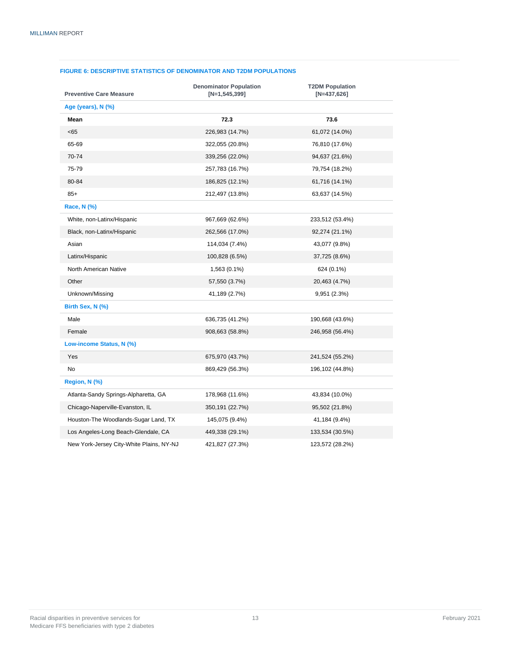#### **FIGURE 6: DESCRIPTIVE STATISTICS OF DENOMINATOR AND T2DM POPULATIONS**

| <b>Preventive Care Measure</b>           | <b>Denominator Population</b><br>$[N=1, 545, 399]$ | <b>T2DM Population</b><br>$[N=437,626]$ |
|------------------------------------------|----------------------------------------------------|-----------------------------------------|
| Age (years), N (%)                       |                                                    |                                         |
| Mean                                     | 72.3                                               | 73.6                                    |
| < 65                                     | 226,983 (14.7%)                                    | 61,072 (14.0%)                          |
| 65-69                                    | 322,055 (20.8%)                                    | 76,810 (17.6%)                          |
| 70-74                                    | 339,256 (22.0%)                                    | 94,637 (21.6%)                          |
| 75-79                                    | 257,783 (16.7%)                                    | 79,754 (18.2%)                          |
| 80-84                                    | 186,825 (12.1%)                                    | 61,716 (14.1%)                          |
| $85+$                                    | 212,497 (13.8%)                                    | 63,637 (14.5%)                          |
| Race, N (%)                              |                                                    |                                         |
| White, non-Latinx/Hispanic               | 967,669 (62.6%)                                    | 233,512 (53.4%)                         |
| Black, non-Latinx/Hispanic               | 262,566 (17.0%)                                    | 92,274 (21.1%)                          |
| Asian                                    | 114,034 (7.4%)                                     | 43,077 (9.8%)                           |
| Latinx/Hispanic                          | 100,828 (6.5%)                                     | 37,725 (8.6%)                           |
| North American Native                    | 1,563 (0.1%)                                       | 624 (0.1%)                              |
| Other                                    | 57,550 (3.7%)                                      | 20,463 (4.7%)                           |
| Unknown/Missing                          | 41,189 (2.7%)                                      | 9,951 (2.3%)                            |
| Birth Sex, N (%)                         |                                                    |                                         |
| Male                                     | 636,735 (41.2%)                                    | 190,668 (43.6%)                         |
| Female                                   | 908,663 (58.8%)                                    | 246,958 (56.4%)                         |
| Low-income Status, N (%)                 |                                                    |                                         |
| Yes                                      | 675,970 (43.7%)                                    | 241,524 (55.2%)                         |
| No                                       | 869,429 (56.3%)                                    | 196,102 (44.8%)                         |
| Region, N (%)                            |                                                    |                                         |
| Atlanta-Sandy Springs-Alpharetta, GA     | 178,968 (11.6%)                                    | 43,834 (10.0%)                          |
| Chicago-Naperville-Evanston, IL          | 350,191 (22.7%)                                    | 95,502 (21.8%)                          |
| Houston-The Woodlands-Sugar Land, TX     | 145,075 (9.4%)                                     | 41,184 (9.4%)                           |
| Los Angeles-Long Beach-Glendale, CA      | 449,338 (29.1%)                                    | 133,534 (30.5%)                         |
| New York-Jersey City-White Plains, NY-NJ | 421,827 (27.3%)                                    | 123,572 (28.2%)                         |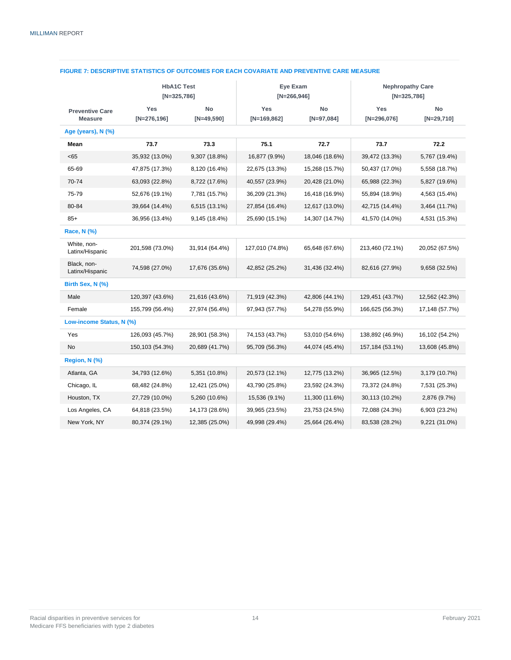| <b>HbA1C Test</b><br>$[N=325,786]$       |                       | Eye Exam<br>$[N=266,946]$ |                      | <b>Nephropathy Care</b><br>$[N=325,786]$ |                      |                    |
|------------------------------------------|-----------------------|---------------------------|----------------------|------------------------------------------|----------------------|--------------------|
| <b>Preventive Care</b><br><b>Measure</b> | Yes<br>$[N=276, 196]$ | No<br>$[N=49,590]$        | Yes<br>$[N=169,862]$ | No<br>$[N=97,084]$                       | Yes<br>$[N=296,076]$ | No<br>$[N=29,710]$ |
| Age (years), N (%)                       |                       |                           |                      |                                          |                      |                    |
| Mean                                     | 73.7                  | 73.3                      | 75.1                 | 72.7                                     | 73.7                 | 72.2               |
| < 65                                     | 35,932 (13.0%)        | 9,307 (18.8%)             | 16,877 (9.9%)        | 18,046 (18.6%)                           | 39,472 (13.3%)       | 5,767 (19.4%)      |
| 65-69                                    | 47,875 (17.3%)        | 8,120 (16.4%)             | 22,675 (13.3%)       | 15,268 (15.7%)                           | 50,437 (17.0%)       | 5,558 (18.7%)      |
| 70-74                                    | 63,093 (22.8%)        | 8,722 (17.6%)             | 40,557 (23.9%)       | 20,428 (21.0%)                           | 65,988 (22.3%)       | 5,827 (19.6%)      |
| 75-79                                    | 52,676 (19.1%)        | 7,781 (15.7%)             | 36,209 (21.3%)       | 16,418 (16.9%)                           | 55,894 (18.9%)       | 4,563 (15.4%)      |
| 80-84                                    | 39,664 (14.4%)        | 6,515 (13.1%)             | 27,854 (16.4%)       | 12,617 (13.0%)                           | 42,715 (14.4%)       | 3,464 (11.7%)      |
| $85+$                                    | 36,956 (13.4%)        | 9,145 (18.4%)             | 25,690 (15.1%)       | 14,307 (14.7%)                           | 41,570 (14.0%)       | 4,531 (15.3%)      |
| <b>Race, N (%)</b>                       |                       |                           |                      |                                          |                      |                    |
| White, non-<br>Latinx/Hispanic           | 201,598 (73.0%)       | 31,914 (64.4%)            | 127,010 (74.8%)      | 65,648 (67.6%)                           | 213,460 (72.1%)      | 20,052 (67.5%)     |
| Black, non-<br>Latinx/Hispanic           | 74,598 (27.0%)        | 17,676 (35.6%)            | 42,852 (25.2%)       | 31,436 (32.4%)                           | 82,616 (27.9%)       | 9,658 (32.5%)      |
| Birth Sex, N (%)                         |                       |                           |                      |                                          |                      |                    |
| Male                                     | 120,397 (43.6%)       | 21,616 (43.6%)            | 71,919 (42.3%)       | 42,806 (44.1%)                           | 129,451 (43.7%)      | 12,562 (42.3%)     |
| Female                                   | 155,799 (56.4%)       | 27,974 (56.4%)            | 97,943 (57.7%)       | 54,278 (55.9%)                           | 166,625 (56.3%)      | 17,148 (57.7%)     |
| Low-income Status, N (%)                 |                       |                           |                      |                                          |                      |                    |
| Yes                                      | 126,093 (45.7%)       | 28,901 (58.3%)            | 74,153 (43.7%)       | 53,010 (54.6%)                           | 138,892 (46.9%)      | 16,102 (54.2%)     |
| No                                       | 150,103 (54.3%)       | 20,689 (41.7%)            | 95,709 (56.3%)       | 44,074 (45.4%)                           | 157, 184 (53.1%)     | 13,608 (45.8%)     |
| Region, N (%)                            |                       |                           |                      |                                          |                      |                    |
| Atlanta, GA                              | 34,793 (12.6%)        | 5,351 (10.8%)             | 20,573 (12.1%)       | 12,775 (13.2%)                           | 36,965 (12.5%)       | 3,179 (10.7%)      |
| Chicago, IL                              | 68,482 (24.8%)        | 12,421 (25.0%)            | 43,790 (25.8%)       | 23,592 (24.3%)                           | 73,372 (24.8%)       | 7,531 (25.3%)      |
| Houston, TX                              | 27,729 (10.0%)        | 5,260 (10.6%)             | 15,536 (9.1%)        | 11,300 (11.6%)                           | 30,113 (10.2%)       | 2,876 (9.7%)       |
| Los Angeles, CA                          | 64,818 (23.5%)        | 14,173 (28.6%)            | 39,965 (23.5%)       | 23,753 (24.5%)                           | 72,088 (24.3%)       | 6,903 (23.2%)      |
| New York, NY                             | 80,374 (29.1%)        | 12,385 (25.0%)            | 49,998 (29.4%)       | 25,664 (26.4%)                           | 83,538 (28.2%)       | 9,221 (31.0%)      |

#### **FIGURE 7: DESCRIPTIVE STATISTICS OF OUTCOMES FOR EACH COVARIATE AND PREVENTIVE CARE MEASURE**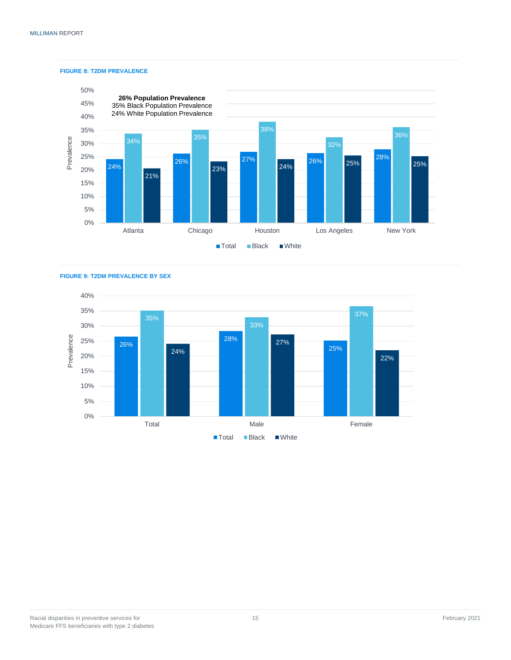